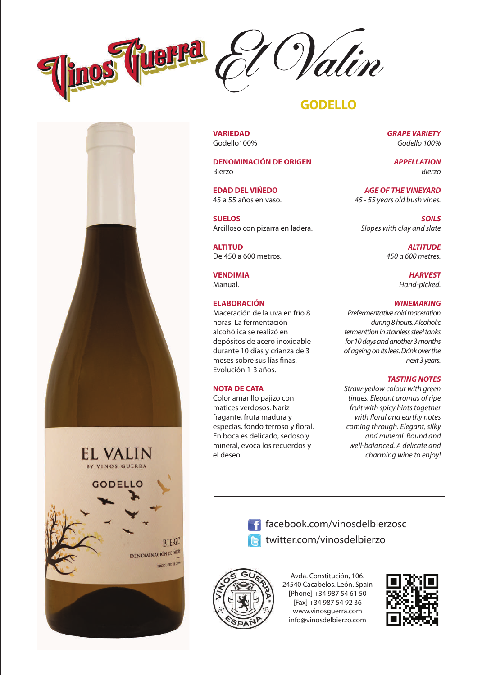



## **GODELLO**

**VARIEDAD** Godello100%

**DENOMINACIÓN DE ORIGEN** Bierzo

**EDAD DEL VIÑEDO** 45 a 55 años en vaso.

**SUELOS** Arcilloso con pizarra en ladera.

**ALTITUD** De 450 a 600 metros.

**VENDIMIA** Manual.

## **ELABORACIÓN**

Maceración de la uva en frío 8 horas. La fermentación alcohólica se realizó en depósitos de acero inoxidable durante 10 días y crianza de 3 meses sobre sus lías finas. Evolución 1-3 años.

## **NOTA DE CATA**

Color amarillo pajizo con matices verdosos. Nariz fragante, fruta madura y especias, fondo terroso y floral. En boca es delicado, sedoso y mineral, evoca los recuerdos y el deseo

*GRAPE VARIETY Godello 100%*

> *APPELLATION Bierzo*

*AGE OF THE VINEYARD 45 - 55 years old bush vines.*

*SOILS Slopes with clay and slate*

> *ALTITUDE 450 a 600 metres.*

> > *HARVEST Hand-picked.*

#### *WINEMAKING*

*Prefermentative cold maceration during 8 hours. Alcoholic fermenttion in stainless steel tanks for 10 days and another 3 months of ageing on its lees. Drink over the next 3 years.*

#### *TASTING NOTES*

*Straw-yellow colour with green tinges. Elegant aromas of ripe fruit with spicy hints together*   $with$  floral and earthy notes *coming through. Elegant, silky and mineral. Round and well-balanced. A delicate and charming wine to enjoy!*



facebook.com/vinosdelbierzosc twitter.com/vinosdelbierzo



Avda. Constitución, 106. 24540 Cacabelos. León. Spain [Phone] +34 987 54 61 50 [Fax] +34 987 54 92 36 www.vinosguerra.com info@vinosdelbierzo.com

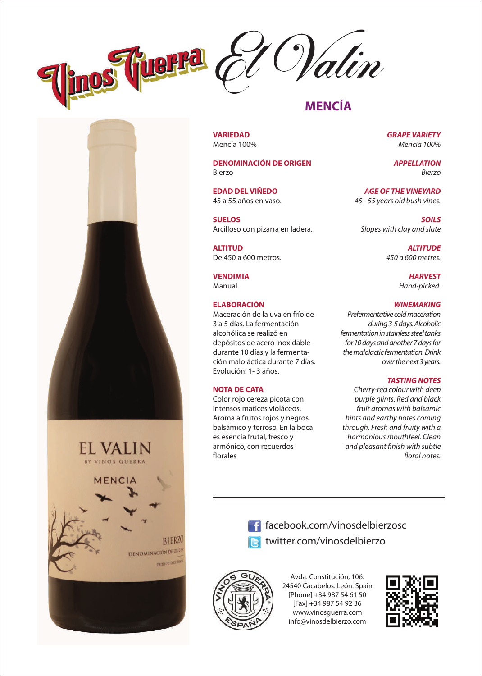



## **MENCÍA**

**VARIEDAD** Mencía 100%

**DENOMINACIÓN DE ORIGEN** Bierzo

**EDAD DEL VIÑEDO** 45 a 55 años en vaso.

**SUELOS** Arcilloso con pizarra en ladera.

**ALTITUD** De 450 a 600 metros.

**VENDIMIA** Manual.

## **ELABORACIÓN**

Maceración de la uva en frío de 3 a 5 días. La fermentación alcohólica se realizó en depósitos de acero inoxidable durante 10 días y la fermentación maloláctica durante 7 días. Evolución: 1- 3 años.

#### **NOTA DE CATA**

Color rojo cereza picota con intensos matices violáceos. Aroma a frutos rojos y negros, balsámico y terroso. En la boca es esencia frutal, fresco y armónico, con recuerdos florales

*GRAPE VARIETY Mencía 100%*

> *APPELLATION Bierzo*

*AGE OF THE VINEYARD 45 - 55 years old bush vines.*

*SOILS Slopes with clay and slate*

> *ALTITUDE 450 a 600 metres.*

> > *HARVEST Hand-picked.*

#### *WINEMAKING*

*Prefermentative cold maceration during 3-5 days. Alcoholic fermentation in stainless steel tanks for 10 days and another 7 days for the malolactic fermentation. Drink over the next 3 years.*

## *TASTING NOTES*

*Cherry-red colour with deep purple glints. Red and black fruit aromas with balsamic hints and earthy notes coming through. Fresh and fruity with a harmonious mouthfeel. Clean and pleasant nish with subtle*  floral notes.

**EL VALIN** VINOS GUERRA **MENCIA BIERZO DENOMINACIÓN DE ORIGE PRODUCTO DE FINO** 



**f** facebook.com/vinosdelbierzosc twitter.com/vinosdelbierzo



Avda. Constitución, 106. 24540 Cacabelos. León. Spain [Phone] +34 987 54 61 50 [Fax] +34 987 54 92 36 www.vinosguerra.com info@vinosdelbierzo.com